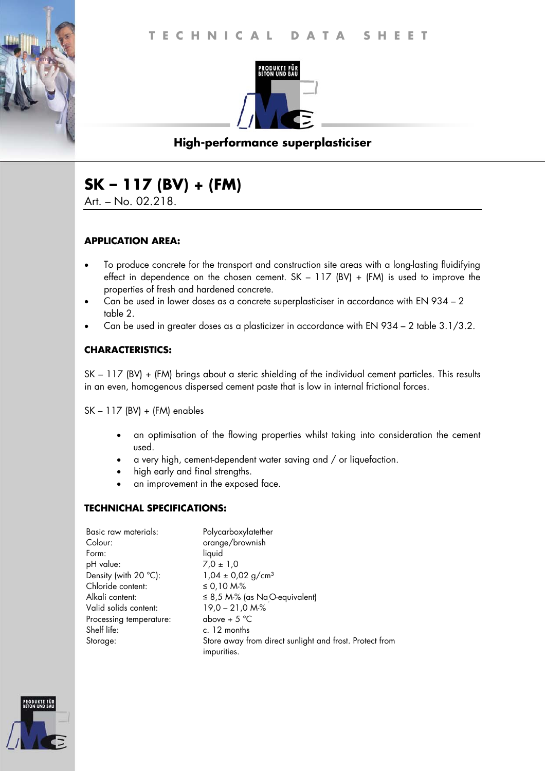

## **High-performance superplasticiser**

# **SK – 117 (BV) + (FM)**

Art. – No. 02.218.

### **APPLICATION AREA:**

- To produce concrete for the transport and construction site areas with a long-lasting fluidifying effect in dependence on the chosen cement.  $SK - 117$  (BV) + (FM) is used to improve the properties of fresh and hardened concrete.
- Can be used in lower doses as a concrete superplasticiser in accordance with EN 934 2 table 2.
- Can be used in greater doses as a plasticizer in accordance with EN 934 2 table 3.1/3.2.

### **CHARACTERISTICS:**

SK – 117 (BV) + (FM) brings about a steric shielding of the individual cement particles. This results in an even, homogenous dispersed cement paste that is low in internal frictional forces.

SK – 117 (BV) + (FM) enables

- an optimisation of the flowing properties whilst taking into consideration the cement used.
- a very high, cement-dependent water saving and / or liquefaction.
- high early and final strengths.
- an improvement in the exposed face.

#### **TECHNICHAL SPECIFICATIONS:**

| Basic raw materials:    | Polycarboxylatether                                                    |
|-------------------------|------------------------------------------------------------------------|
| Colour:                 | orange/brownish                                                        |
| Form:                   | liquid                                                                 |
| pH value:               | $7.0 \pm 1.0$                                                          |
| Density (with 20 °C):   | $1,04 \pm 0,02$ g/cm <sup>3</sup>                                      |
| Chloride content:       | ≤ 0,10 M-%                                                             |
| Alkali content:         | $\leq$ 8,5 M-% (as NaO-equivalent)                                     |
| Valid solids content:   | $19,0 - 21,0 M-S$                                                      |
| Processing temperature: | above + $5^{\circ}$ C                                                  |
| Shelf life:             | c. 12 months                                                           |
| Storage:                | Store away from direct sunlight and frost. Protect from<br>impurities. |